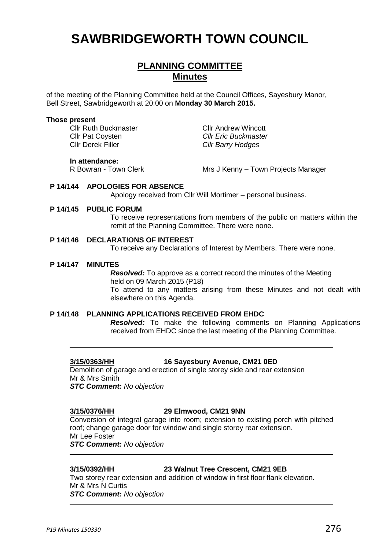# **SAWBRIDGEWORTH TOWN COUNCIL**

## **PLANNING COMMITTEE Minutes**

of the meeting of the Planning Committee held at the Council Offices, Sayesbury Manor, Bell Street, Sawbridgeworth at 20:00 on **Monday 30 March 2015.**

#### **Those present**

Cllr Ruth Buckmaster **Cllr Andrew Wincott** Cllr Pat Coysten *Cllr Eric Buckmaster*

Cllr Derek Filler *Cllr Barry Hodges*

#### **In attendance:**

R Bowran - Town Clerk Mrs J Kenny – Town Projects Manager

#### **P 14/144 APOLOGIES FOR ABSENCE**

Apology received from Cllr Will Mortimer – personal business.

### **P 14/145 PUBLIC FORUM**

To receive representations from members of the public on matters within the remit of the Planning Committee. There were none.

#### **P 14/146 DECLARATIONS OF INTEREST**

To receive any Declarations of Interest by Members. There were none.

#### **P 14/147 MINUTES**

*Resolved:* To approve as a correct record the minutes of the Meeting held on 09 March 2015 (P18) To attend to any matters arising from these Minutes and not dealt with elsewhere on this Agenda.

### **P 14/148 PLANNING APPLICATIONS RECEIVED FROM EHDC**

*Resolved:* To make the following comments on Planning Applications received from EHDC since the last meeting of the Planning Committee.

### **3/15/0363/HH 16 Sayesbury Avenue, CM21 0ED**

Demolition of garage and erection of single storey side and rear extension Mr & Mrs Smith *STC Comment: No objection*

### **3/15/0376/HH 29 Elmwood, CM21 9NN**

Conversion of integral garage into room; extension to existing porch with pitched roof; change garage door for window and single storey rear extension. Mr Lee Foster *STC Comment: No objection*

### **3/15/0392/HH 23 Walnut Tree Crescent, CM21 9EB**

Two storey rear extension and addition of window in first floor flank elevation. Mr & Mrs N Curtis *STC Comment: No objection*